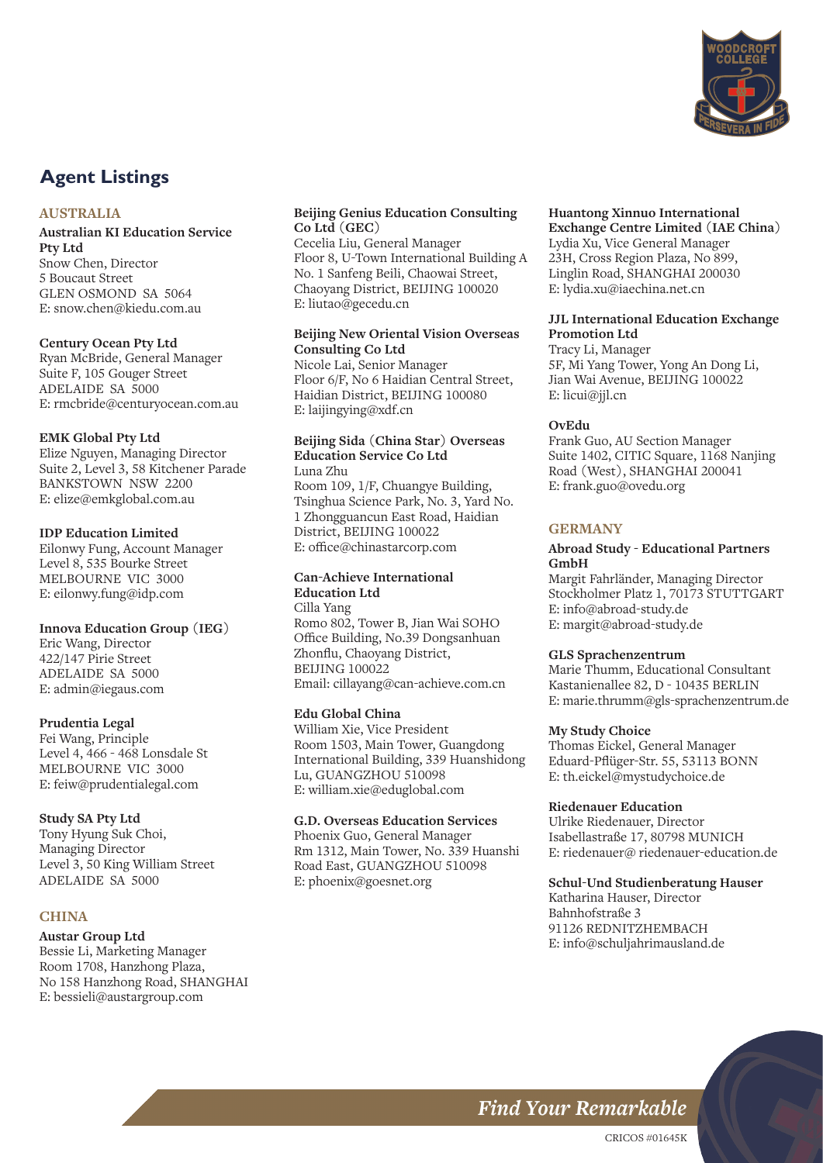

# **Agent Listings**

#### **AUSTRALIA**

#### **Australian KI Education Service Pty Ltd** Snow Chen, Director 5 Boucaut Street GLEN OSMOND SA 5064

E: snow.chen@kiedu.com.au

#### **Century Ocean Pty Ltd**

Ryan McBride, General Manager Suite F, 105 Gouger Street ADELAIDE SA 5000 E: rmcbride@centuryocean.com.au

#### **EMK Global Pty Ltd**

Elize Nguyen, Managing Director Suite 2, Level 3, 58 Kitchener Parade BANKSTOWN NSW 2200 E: elize@emkglobal.com.au

#### **IDP Education Limited**

Eilonwy Fung, Account Manager Level 8, 535 Bourke Street MELBOURNE VIC 3000 E: eilonwy.fung@idp.com

#### **Innova Education Group (IEG)**

Eric Wang, Director 422/147 Pirie Street ADELAIDE SA 5000 E: admin@iegaus.com

#### **Prudentia Legal**

Fei Wang, Principle Level 4, 466 - 468 Lonsdale St MELBOURNE VIC 3000 E: feiw@prudentialegal.com

#### **Study SA Pty Ltd**

Tony Hyung Suk Choi, Managing Director Level 3, 50 King William Street ADELAIDE SA 5000

### **CHINA**

#### **Austar Group Ltd**

Bessie Li, Marketing Manager Room 1708, Hanzhong Plaza, No 158 Hanzhong Road, SHANGHAI E: bessieli@austargroup.com

#### **Beijing Genius Education Consulting Co Ltd (GEC)**

Cecelia Liu, General Manager Floor 8, U-Town International Building A No. 1 Sanfeng Beili, Chaowai Street, Chaoyang District, BEIJING 100020 E: liutao@gecedu.cn

#### **Beijing New Oriental Vision Overseas Consulting Co Ltd**

Nicole Lai, Senior Manager Floor 6/F, No 6 Haidian Central Street, Haidian District, BEIJING 100080 E: laijingying@xdf.cn

#### **Beijing Sida (China Star) Overseas Education Service Co Ltd** Luna Zhu

Room 109, 1/F, Chuangye Building, Tsinghua Science Park, No. 3, Yard No. 1 Zhongguancun East Road, Haidian District, BEIJING 100022 E: office@chinastarcorp.com

#### **Can-Achieve International**

**Education Ltd** Cilla Yang Romo 802, Tower B, Jian Wai SOHO Office Building, No.39 Dongsanhuan Zhonflu, Chaoyang District, BEIJING 100022 Email: cillayang@can-achieve.com.cn

#### **Edu Global China**

William Xie, Vice President Room 1503, Main Tower, Guangdong International Building, 339 Huanshidong Lu, GUANGZHOU 510098 E: william.xie@eduglobal.com

## **G.D. Overseas Education Services**

Phoenix Guo, General Manager Rm 1312, Main Tower, No. 339 Huanshi Road East, GUANGZHOU 510098 E: phoenix@goesnet.org

## **Huantong Xinnuo International**

**Exchange Centre Limited (IAE China)** Lydia Xu, Vice General Manager 23H, Cross Region Plaza, No 899, Linglin Road, SHANGHAI 200030 E: lydia.xu@iaechina.net.cn

#### **JJL International Education Exchange Promotion Ltd**

Tracy Li, Manager 5F, Mi Yang Tower, Yong An Dong Li, Jian Wai Avenue, BEIJING 100022 E: licui@jjl.cn

#### **OvEdu**

Frank Guo, AU Section Manager Suite 1402, CITIC Square, 1168 Nanjing Road (West), SHANGHAI 200041 E: frank.guo@ovedu.org

### **GERMANY**

#### **Abroad Study - Educational Partners GmbH**

Margit Fahrländer, Managing Director Stockholmer Platz 1, 70173 STUTTGART E: info@abroad-study.de E: margit@abroad-study.de

#### **GLS Sprachenzentrum**

Marie Thumm, Educational Consultant Kastanienallee 82, D - 10435 BERLIN E: marie.thrumm@gls-sprachenzentrum.de

#### **My Study Choice**

Thomas Eickel, General Manager Eduard-Pflüger-Str. 55, 53113 BONN E: th.eickel@mystudychoice.de

#### **Riedenauer Education**

Ulrike Riedenauer, Director Isabellastraße 17, 80798 MUNICH E: riedenauer@ riedenauer-education.de

#### **Schul-Und Studienberatung Hauser**

Katharina Hauser, Director Bahnhofstraße 3 91126 REDNITZHEMBACH E: info@schuljahrimausland.de

# **Find Your Remarkable**

CRICOS #01645K